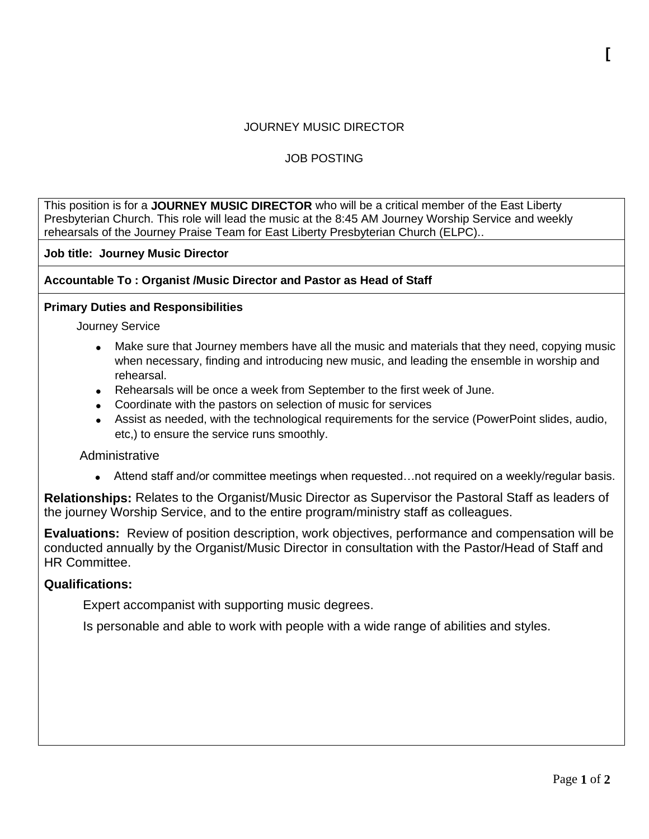## JOURNEY MUSIC DIRECTOR

# JOB POSTING

This position is for a **JOURNEY MUSIC DIRECTOR** who will be a critical member of the East Liberty Presbyterian Church. This role will lead the music at the 8:45 AM Journey Worship Service and weekly rehearsals of the Journey Praise Team for East Liberty Presbyterian Church (ELPC)..

**Job title: Journey Music Director**

**Accountable To : Organist /Music Director and Pastor as Head of Staff**

#### **Primary Duties and Responsibilities**

Journey Service

- Make sure that Journey members have all the music and materials that they need, copying music when necessary, finding and introducing new music, and leading the ensemble in worship and rehearsal.
- Rehearsals will be once a week from September to the first week of June.
- Coordinate with the pastors on selection of music for services
- Assist as needed, with the technological requirements for the service (PowerPoint slides, audio, etc,) to ensure the service runs smoothly.

## **Administrative**

• Attend staff and/or committee meetings when requested...not required on a weekly/reqular basis.

**Relationships:** Relates to the Organist/Music Director as Supervisor the Pastoral Staff as leaders of the journey Worship Service, and to the entire program/ministry staff as colleagues.

**Evaluations:** Review of position description, work objectives, performance and compensation will be conducted annually by the Organist/Music Director in consultation with the Pastor/Head of Staff and HR Committee.

## **Qualifications:**

Expert accompanist with supporting music degrees.

Is personable and able to work with people with a wide range of abilities and styles.